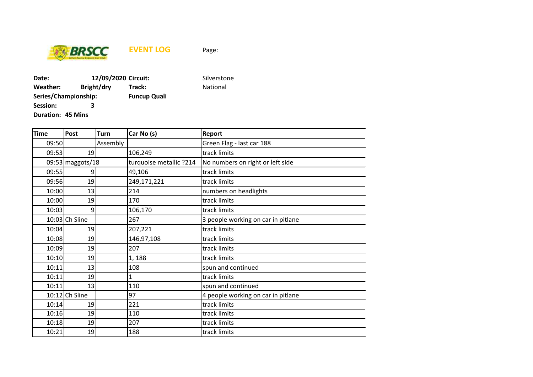

**EVENT LOG** Page:

**Date: 12/09/2020 Circuit:** Silverstone **Weather: Bright/dry Track: National Series/Championship: Funcup Quali Session: 3**

**Duration: 45 Mins**

| <b>Time</b> | Post             | <b>Turn</b> | Car No (s)              | Report                             |  |
|-------------|------------------|-------------|-------------------------|------------------------------------|--|
| 09:50       |                  | Assembly    |                         | Green Flag - last car 188          |  |
| 09:53       | 19               |             | 106,249                 | track limits                       |  |
|             | 09:53 maggots/18 |             | turquoise metallic ?214 | No numbers on right or left side   |  |
| 09:55       | 9                |             | 49,106                  | track limits                       |  |
| 09:56       | 19               |             | 249,171,221             | track limits                       |  |
| 10:00       | 13               |             | 214                     | numbers on headlights              |  |
| 10:00       | 19               |             | 170                     | track limits                       |  |
| 10:03       | 9                |             | 106,170                 | track limits                       |  |
|             | 10:03 Ch Sline   |             | 267                     | 3 people working on car in pitlane |  |
| 10:04       | 19               |             | 207,221                 | track limits                       |  |
| 10:08       | 19               |             | 146,97,108              | track limits                       |  |
| 10:09       | 19               |             | 207                     | track limits                       |  |
| 10:10       | 19               |             | 1,188                   | track limits                       |  |
| 10:11       | 13               |             | 108                     | spun and continued                 |  |
| 10:11       | 19               |             | $\overline{1}$          | track limits                       |  |
| 10:11       | 13               |             | 110                     | spun and continued                 |  |
|             | $10:12$ Ch Sline |             | 97                      | 4 people working on car in pitlane |  |
| 10:14       | 19               |             | 221                     | track limits                       |  |
| 10:16       | 19               |             | 110                     | track limits                       |  |
| 10:18       | 19               |             | 207                     | track limits                       |  |
| 10:21       | 19               |             | 188                     | track limits                       |  |